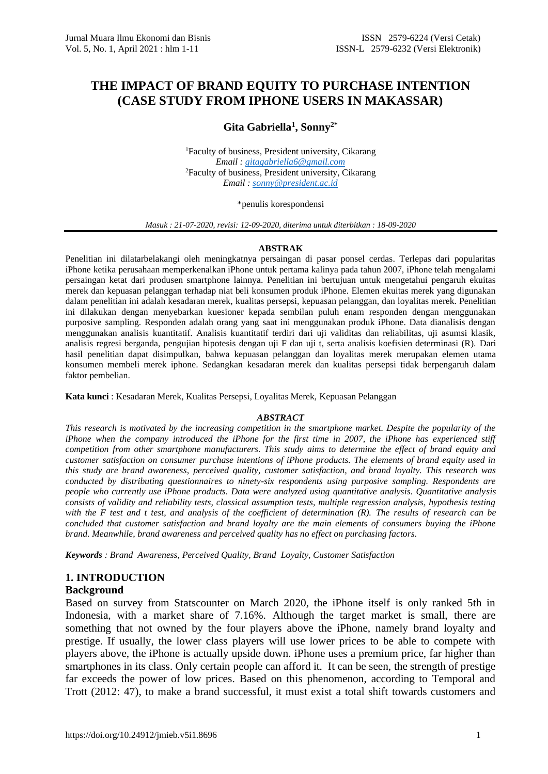# **THE IMPACT OF BRAND EQUITY TO PURCHASE INTENTION (CASE STUDY FROM IPHONE USERS IN MAKASSAR)**

# **Gita Gabriella<sup>1</sup> , Sonny2\***

<sup>1</sup>Faculty of business, President university, Cikarang *Email [: gitagabriella6@gmail.com](mailto:gitagabriella6@gmail.com)* <sup>2</sup>Faculty of business, President university, Cikarang *Email : [sonny@president.ac.id](mailto:sonny@president.ac.id)*

#### \*penulis korespondensi

*Masuk : 21-07-2020, revisi: 12-09-2020, diterima untuk diterbitkan : 18-09-2020*

#### **ABSTRAK**

Penelitian ini dilatarbelakangi oleh meningkatnya persaingan di pasar ponsel cerdas. Terlepas dari popularitas iPhone ketika perusahaan memperkenalkan iPhone untuk pertama kalinya pada tahun 2007, iPhone telah mengalami persaingan ketat dari produsen smartphone lainnya. Penelitian ini bertujuan untuk mengetahui pengaruh ekuitas merek dan kepuasan pelanggan terhadap niat beli konsumen produk iPhone. Elemen ekuitas merek yang digunakan dalam penelitian ini adalah kesadaran merek, kualitas persepsi, kepuasan pelanggan, dan loyalitas merek. Penelitian ini dilakukan dengan menyebarkan kuesioner kepada sembilan puluh enam responden dengan menggunakan purposive sampling. Responden adalah orang yang saat ini menggunakan produk iPhone. Data dianalisis dengan menggunakan analisis kuantitatif. Analisis kuantitatif terdiri dari uji validitas dan reliabilitas, uji asumsi klasik, analisis regresi berganda, pengujian hipotesis dengan uji F dan uji t, serta analisis koefisien determinasi (R). Dari hasil penelitian dapat disimpulkan, bahwa kepuasan pelanggan dan loyalitas merek merupakan elemen utama konsumen membeli merek iphone. Sedangkan kesadaran merek dan kualitas persepsi tidak berpengaruh dalam faktor pembelian.

**Kata kunci** : Kesadaran Merek, Kualitas Persepsi, Loyalitas Merek, Kepuasan Pelanggan

#### *ABSTRACT*

*This research is motivated by the increasing competition in the smartphone market. Despite the popularity of the iPhone when the company introduced the iPhone for the first time in 2007, the iPhone has experienced stiff competition from other smartphone manufacturers. This study aims to determine the effect of brand equity and customer satisfaction on consumer purchase intentions of iPhone products. The elements of brand equity used in this study are brand awareness, perceived quality, customer satisfaction, and brand loyalty. This research was conducted by distributing questionnaires to ninety-six respondents using purposive sampling. Respondents are people who currently use iPhone products. Data were analyzed using quantitative analysis. Quantitative analysis consists of validity and reliability tests, classical assumption tests, multiple regression analysis, hypothesis testing with the F test and t test, and analysis of the coefficient of determination (R). The results of research can be concluded that customer satisfaction and brand loyalty are the main elements of consumers buying the iPhone brand. Meanwhile, brand awareness and perceived quality has no effect on purchasing factors.*

*Keywords : Brand Awareness, Perceived Quality, Brand Loyalty, Customer Satisfaction* 

# **1. INTRODUCTION**

# **Background**

Based on survey from Statscounter on March 2020, the iPhone itself is only ranked 5th in Indonesia, with a market share of 7.16%. Although the target market is small, there are something that not owned by the four players above the iPhone, namely brand loyalty and prestige. If usually, the lower class players will use lower prices to be able to compete with players above, the iPhone is actually upside down. iPhone uses a premium price, far higher than smartphones in its class. Only certain people can afford it. It can be seen, the strength of prestige far exceeds the power of low prices. Based on this phenomenon, according to Temporal and Trott (2012: 47), to make a brand successful, it must exist a total shift towards customers and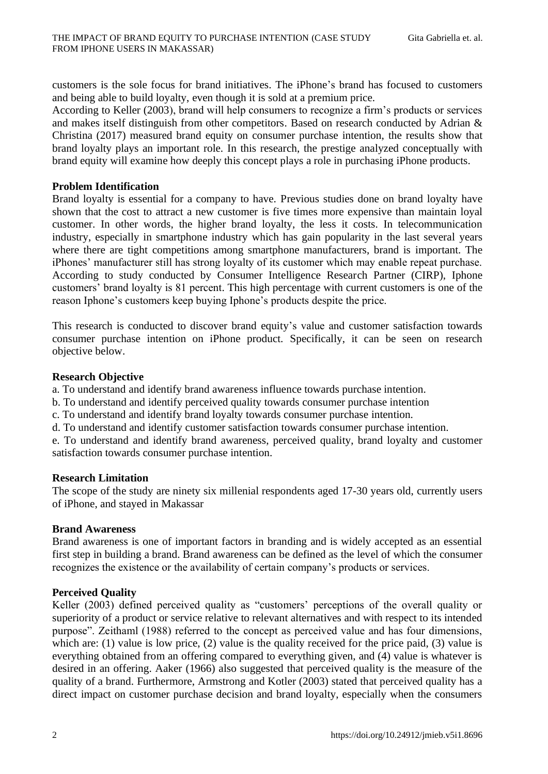customers is the sole focus for brand initiatives. The iPhone's brand has focused to customers and being able to build loyalty, even though it is sold at a premium price.

According to Keller (2003), brand will help consumers to recognize a firm's products or services and makes itself distinguish from other competitors. Based on research conducted by Adrian & Christina (2017) measured brand equity on consumer purchase intention, the results show that brand loyalty plays an important role. In this research, the prestige analyzed conceptually with brand equity will examine how deeply this concept plays a role in purchasing iPhone products.

# **Problem Identification**

Brand loyalty is essential for a company to have. Previous studies done on brand loyalty have shown that the cost to attract a new customer is five times more expensive than maintain loyal customer. In other words, the higher brand loyalty, the less it costs. In telecommunication industry, especially in smartphone industry which has gain popularity in the last several years where there are tight competitions among smartphone manufacturers, brand is important. The iPhones' manufacturer still has strong loyalty of its customer which may enable repeat purchase. According to study conducted by Consumer Intelligence Research Partner (CIRP), Iphone customers' brand loyalty is 81 percent. This high percentage with current customers is one of the reason Iphone's customers keep buying Iphone's products despite the price.

This research is conducted to discover brand equity's value and customer satisfaction towards consumer purchase intention on iPhone product. Specifically, it can be seen on research objective below.

# **Research Objective**

a. To understand and identify brand awareness influence towards purchase intention.

- b. To understand and identify perceived quality towards consumer purchase intention
- c. To understand and identify brand loyalty towards consumer purchase intention.
- d. To understand and identify customer satisfaction towards consumer purchase intention.

e. To understand and identify brand awareness, perceived quality, brand loyalty and customer satisfaction towards consumer purchase intention.

# **Research Limitation**

The scope of the study are ninety six millenial respondents aged 17-30 years old, currently users of iPhone, and stayed in Makassar

# **Brand Awareness**

Brand awareness is one of important factors in branding and is widely accepted as an essential first step in building a brand. Brand awareness can be defined as the level of which the consumer recognizes the existence or the availability of certain company's products or services.

# **Perceived Quality**

Keller (2003) defined perceived quality as "customers' perceptions of the overall quality or superiority of a product or service relative to relevant alternatives and with respect to its intended purpose". Zeithaml (1988) referred to the concept as perceived value and has four dimensions, which are: (1) value is low price, (2) value is the quality received for the price paid, (3) value is everything obtained from an offering compared to everything given, and (4) value is whatever is desired in an offering. Aaker (1966) also suggested that perceived quality is the measure of the quality of a brand. Furthermore, Armstrong and Kotler (2003) stated that perceived quality has a direct impact on customer purchase decision and brand loyalty, especially when the consumers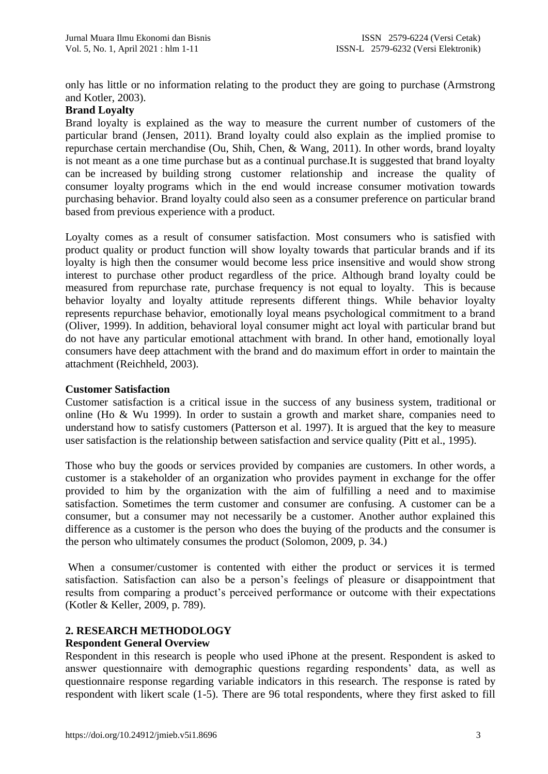only has little or no information relating to the product they are going to purchase (Armstrong and Kotler, 2003).

# **Brand Loyalty**

Brand loyalty is explained as the way to measure the current number of customers of the particular brand (Jensen, 2011). Brand loyalty could also explain as the implied promise to repurchase certain merchandise (Ou, Shih, Chen, & Wang, 2011). In other words, brand loyalty is not meant as a one time purchase but as a continual purchase.It is suggested that brand loyalty can be increased by building strong customer relationship and increase the quality of consumer loyalty programs which in the end would increase consumer motivation towards purchasing behavior. Brand loyalty could also seen as a consumer preference on particular brand based from previous experience with a product.

Loyalty comes as a result of consumer satisfaction. Most consumers who is satisfied with product quality or product function will show loyalty towards that particular brands and if its loyalty is high then the consumer would become less price insensitive and would show strong interest to purchase other product regardless of the price. Although brand loyalty could be measured from repurchase rate, purchase frequency is not equal to loyalty. This is because behavior loyalty and loyalty attitude represents different things. While behavior loyalty represents repurchase behavior, emotionally loyal means psychological commitment to a brand (Oliver, 1999). In addition, behavioral loyal consumer might act loyal with particular brand but do not have any particular emotional attachment with brand. In other hand, emotionally loyal consumers have deep attachment with the brand and do maximum effort in order to maintain the attachment (Reichheld, 2003).

# **Customer Satisfaction**

Customer satisfaction is a critical issue in the success of any business system, traditional or online (Ho  $\&$  Wu 1999). In order to sustain a growth and market share, companies need to understand how to satisfy customers (Patterson et al. 1997). It is argued that the key to measure user satisfaction is the relationship between satisfaction and service quality (Pitt et al., 1995).

Those who buy the goods or services provided by companies are customers. In other words, a customer is a stakeholder of an organization who provides payment in exchange for the offer provided to him by the organization with the aim of fulfilling a need and to maximise satisfaction. Sometimes the term customer and consumer are confusing. A customer can be a consumer, but a consumer may not necessarily be a customer. Another author explained this difference as a customer is the person who does the buying of the products and the consumer is the person who ultimately consumes the product (Solomon, 2009, p. 34.)

When a consumer/customer is contented with either the product or services it is termed satisfaction. Satisfaction can also be a person's feelings of pleasure or disappointment that results from comparing a product's perceived performance or outcome with their expectations (Kotler & Keller, 2009, p. 789).

# **2. RESEARCH METHODOLOGY**

# **Respondent General Overview**

Respondent in this research is people who used iPhone at the present. Respondent is asked to answer questionnaire with demographic questions regarding respondents' data, as well as questionnaire response regarding variable indicators in this research. The response is rated by respondent with likert scale (1-5). There are 96 total respondents, where they first asked to fill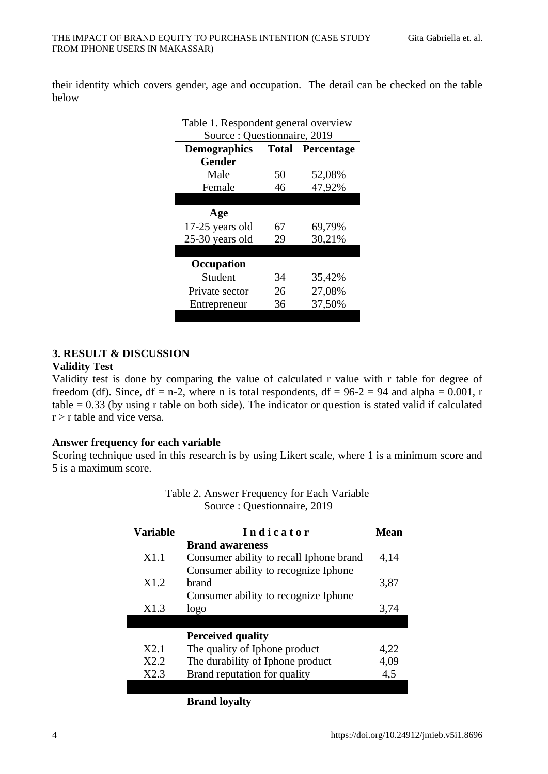their identity which covers gender, age and occupation. The detail can be checked on the table below

| Table 1. Respondent general overview           |    |        |  |  |  |  |  |
|------------------------------------------------|----|--------|--|--|--|--|--|
| Source: Questionnaire, 2019                    |    |        |  |  |  |  |  |
| <b>Demographics</b><br><b>Total Percentage</b> |    |        |  |  |  |  |  |
| <b>Gender</b>                                  |    |        |  |  |  |  |  |
| Male                                           | 50 | 52,08% |  |  |  |  |  |
| Female                                         | 46 | 47,92% |  |  |  |  |  |
|                                                |    |        |  |  |  |  |  |
| Age                                            |    |        |  |  |  |  |  |
| 17-25 years old                                | 67 | 69,79% |  |  |  |  |  |
| 25-30 years old                                | 29 | 30,21% |  |  |  |  |  |
|                                                |    |        |  |  |  |  |  |
| Occupation                                     |    |        |  |  |  |  |  |
| Student                                        | 34 | 35,42% |  |  |  |  |  |
| Private sector                                 | 26 | 27,08% |  |  |  |  |  |
| Entrepreneur                                   | 36 | 37,50% |  |  |  |  |  |

# **3. RESULT & DISCUSSION**

#### **Validity Test**

Validity test is done by comparing the value of calculated r value with r table for degree of freedom (df). Since, df = n-2, where n is total respondents, df =  $96-2 = 94$  and alpha = 0.001, r table = 0.33 (by using r table on both side). The indicator or question is stated valid if calculated  $r > r$  table and vice versa.

# **Answer frequency for each variable**

Scoring technique used in this research is by using Likert scale, where 1 is a minimum score and 5 is a maximum score.

| <b>Variable</b>  | Indicator                               | <b>Mean</b> |
|------------------|-----------------------------------------|-------------|
|                  | <b>Brand awareness</b>                  |             |
| X <sub>1.1</sub> | Consumer ability to recall Iphone brand | 4,14        |
|                  | Consumer ability to recognize Iphone    |             |
| X1.2             | brand                                   | 3,87        |
|                  | Consumer ability to recognize Iphone    |             |
| X1.3             | logo                                    | 3,74        |
|                  |                                         |             |
|                  | <b>Perceived quality</b>                |             |
| X2.1             | The quality of Iphone product           | 4,22        |
| X2.2             | The durability of Iphone product        | 4,09        |
| X2.3             | Brand reputation for quality            | 4,5         |
|                  |                                         |             |

# Table 2. Answer Frequency for Each Variable Source : Questionnaire, 2019

**Brand loyalty**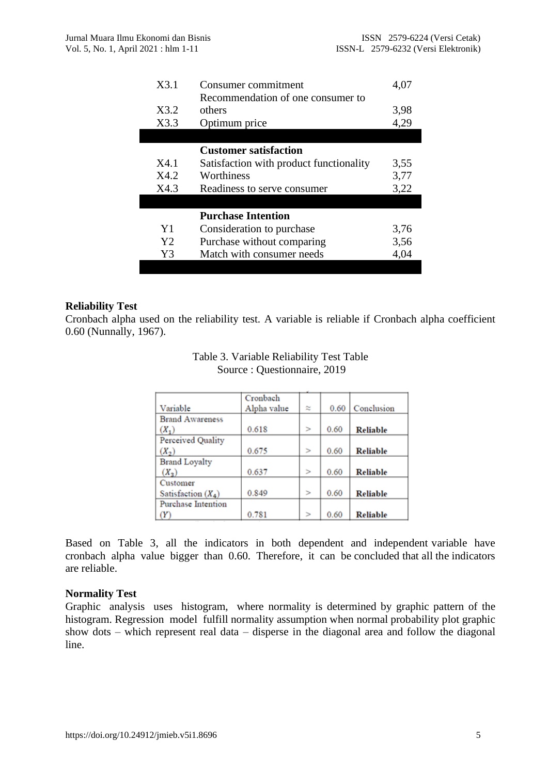| X3.1           | Consumer commitment                     | 4,07 |
|----------------|-----------------------------------------|------|
|                | Recommendation of one consumer to       |      |
| X3.2           | others                                  | 3,98 |
| X3.3           | Optimum price                           | 4,29 |
|                |                                         |      |
|                | <b>Customer satisfaction</b>            |      |
| X4.1           | Satisfaction with product functionality | 3,55 |
| X4.2           | Worthiness                              | 3,77 |
| X4.3           | Readiness to serve consumer             | 3,22 |
|                |                                         |      |
|                | <b>Purchase Intention</b>               |      |
| Y <sub>1</sub> | Consideration to purchase               | 3,76 |
| Y <sub>2</sub> | Purchase without comparing              | 3,56 |
| Y3             | Match with consumer needs               | 4,04 |
|                |                                         |      |

# **Reliability Test**

Cronbach alpha used on the reliability test. A variable is reliable if Cronbach alpha coefficient 0.60 (Nunnally, 1967).

| Table 3. Variable Reliability Test Table |  |
|------------------------------------------|--|
| Source: Questionnaire, 2019              |  |

|                        | Cronbach    |        |      |                 |
|------------------------|-------------|--------|------|-----------------|
| Variable               | Alpha value | z      | 0.60 | Conclusion      |
| <b>Brand Awareness</b> |             |        |      |                 |
| $(X_1)$                | 0.618       | $\geq$ | 0.60 | <b>Reliable</b> |
| Perceived Quality      |             |        |      |                 |
| $(X_2)$                | 0.675       | $\geq$ | 0.60 | <b>Reliable</b> |
| <b>Brand Loyalty</b>   |             |        |      |                 |
| $(X_3)$                | 0.637       | $\geq$ | 0.60 | <b>Reliable</b> |
| Customer               |             |        |      |                 |
| Satisfaction $(X_4)$   | 0.849       | $\geq$ | 0.60 | <b>Reliable</b> |
| Purchase Intention     |             |        |      |                 |
|                        | 0.781       | $\geq$ | 0.60 | <b>Reliable</b> |

Based on Table 3, all the indicators in both dependent and independent variable have cronbach alpha value bigger than 0.60. Therefore, it can be concluded that all the indicators are reliable.

# **Normality Test**

Graphic analysis uses histogram, where normality is determined by graphic pattern of the histogram. Regression model fulfill normality assumption when normal probability plot graphic show dots – which represent real data – disperse in the diagonal area and follow the diagonal line.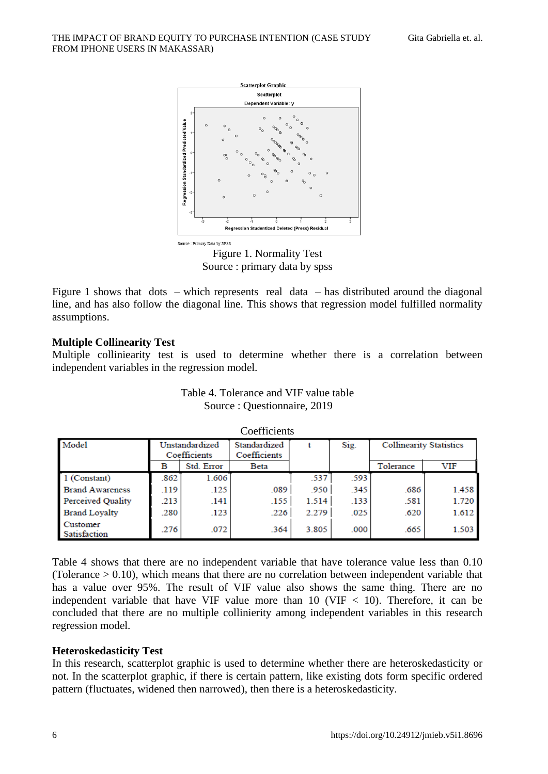

Figure 1. Normality Test Source : primary data by spss

Figure 1 shows that  $dots -$  which represents real data – has distributed around the diagonal line, and has also follow the diagonal line. This shows that regression model fulfilled normality assumptions.

# **Multiple Collinearity Test**

Multiple colliniearity test is used to determine whether there is a correlation between independent variables in the regression model.

| $\sim$                   |                                |            |                              |       |      |                                |       |  |
|--------------------------|--------------------------------|------------|------------------------------|-------|------|--------------------------------|-------|--|
| Model                    | Unstandardized<br>Coefficients |            | Standardized<br>Coefficients |       | Sig. | <b>Collinearity Statistics</b> |       |  |
|                          | в                              | Std. Error | Beta                         |       |      | Tolerance                      | VIF   |  |
| 1 (Constant)             | 862                            | 1.606      |                              | .537  | .593 |                                |       |  |
| <b>Brand Awareness</b>   | .119                           | .125       | .089                         | .950  | .345 | .686                           | 1.458 |  |
| Perceived Quality        | .213                           | .141       | .155                         | 1.514 | .133 | .581                           | 1.720 |  |
| <b>Brand Lovalty</b>     | .280                           | .123       | .226                         | 2.279 | .025 | .620                           | 1.612 |  |
| Customer<br>Satisfaction | 276                            | .072       | .364                         | 3.805 | .000 | .665                           | 1.503 |  |

Table 4. Tolerance and VIF value table Source : Questionnaire, 2019

Coefficients

Table 4 shows that there are no independent variable that have tolerance value less than 0.10 (Tolerance > 0.10), which means that there are no correlation between independent variable that has a value over 95%. The result of VIF value also shows the same thing. There are no independent variable that have VIF value more than  $10$  (VIF  $< 10$ ). Therefore, it can be concluded that there are no multiple collinierity among independent variables in this research regression model.

# **Heteroskedasticity Test**

In this research, scatterplot graphic is used to determine whether there are heteroskedasticity or not. In the scatterplot graphic, if there is certain pattern, like existing dots form specific ordered pattern (fluctuates, widened then narrowed), then there is a heteroskedasticity.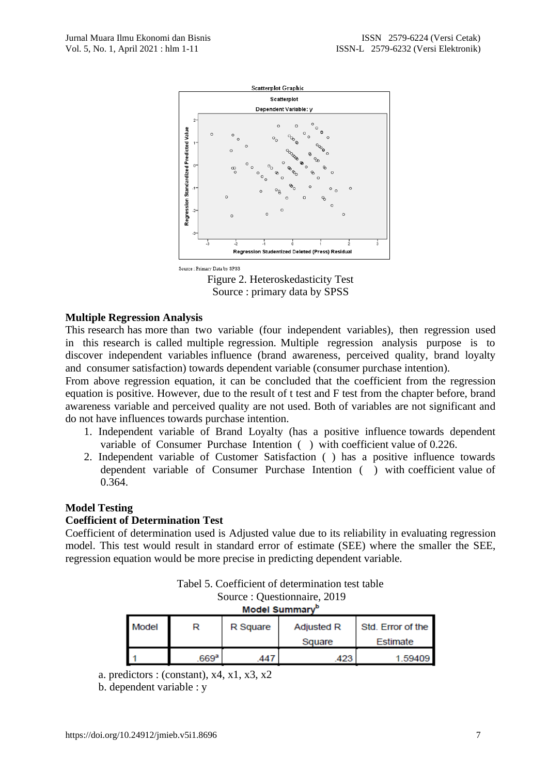

Source : Primary Data by SPSS

Figure 2. Heteroskedasticity Test Source : primary data by SPSS

# **Multiple Regression Analysis**

This research has more than two variable (four independent variables), then regression used in this research is called multiple regression. Multiple regression analysis purpose is to discover independent variables influence (brand awareness, perceived quality, brand loyalty and consumer satisfaction) towards dependent variable (consumer purchase intention).

From above regression equation, it can be concluded that the coefficient from the regression equation is positive. However, due to the result of t test and F test from the chapter before, brand awareness variable and perceived quality are not used. Both of variables are not significant and do not have influences towards purchase intention.

- 1. Independent variable of Brand Loyalty (has a positive influence towards dependent variable of Consumer Purchase Intention ( ) with coefficient value of 0.226.
- 2. Independent variable of Customer Satisfaction ( ) has a positive influence towards dependent variable of Consumer Purchase Intention ( ) with coefficient value of 0.364.

# **Model Testing**

# **Coefficient of Determination Test**

Coefficient of determination used is Adjusted value due to its reliability in evaluating regression model. This test would result in standard error of estimate (SEE) where the smaller the SEE, regression equation would be more precise in predicting dependent variable.

| Tabel 5. Coefficient of determination test table<br>Source: Questionnaire, 2019<br>Model Summary <sup>b</sup> |                    |          |                             |                                      |  |  |
|---------------------------------------------------------------------------------------------------------------|--------------------|----------|-----------------------------|--------------------------------------|--|--|
| Model                                                                                                         | R                  | R Square | <b>Adjusted R</b><br>Square | Std. Error of the<br><b>Estimate</b> |  |  |
|                                                                                                               |                    |          |                             |                                      |  |  |
|                                                                                                               | $669^{\mathrm{a}}$ | 44       | .423                        | 1.59409                              |  |  |

a. predictors : (constant),  $x4$ ,  $x1$ ,  $x3$ ,  $x2$ 

b. dependent variable : y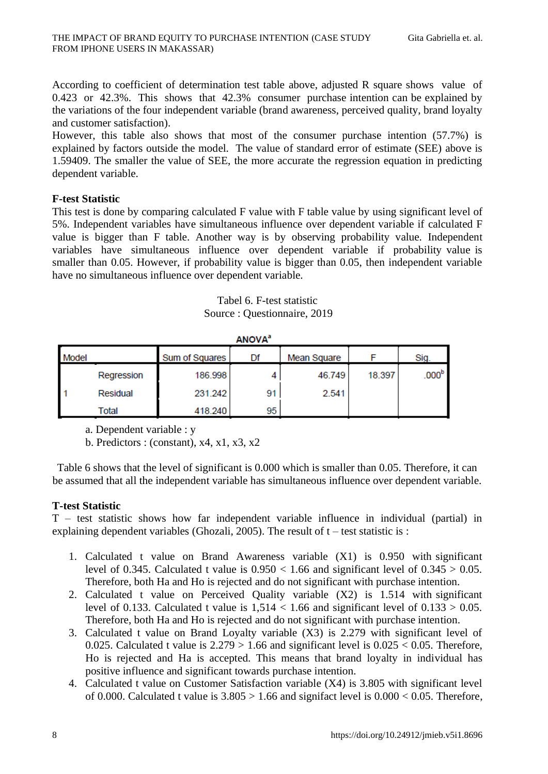According to coefficient of determination test table above, adjusted R square shows value of 0.423 or 42.3%. This shows that 42.3% consumer purchase intention can be explained by the variations of the four independent variable (brand awareness, perceived quality, brand loyalty and customer satisfaction).

However, this table also shows that most of the consumer purchase intention (57.7%) is explained by factors outside the model. The value of standard error of estimate (SEE) above is 1.59409. The smaller the value of SEE, the more accurate the regression equation in predicting dependent variable.

# **F-test Statistic**

This test is done by comparing calculated F value with F table value by using significant level of 5%. Independent variables have simultaneous influence over dependent variable if calculated F value is bigger than F table. Another way is by observing probability value. Independent variables have simultaneous influence over dependent variable if probability value is smaller than 0.05. However, if probability value is bigger than 0.05, then independent variable have no simultaneous influence over dependent variable.

Tabel 6. F-test statistic Source : Questionnaire, 2019

| <b>ANOVA</b> <sup>a</sup> |            |                |    |             |        |                   |  |  |
|---------------------------|------------|----------------|----|-------------|--------|-------------------|--|--|
| Model                     |            | Sum of Squares | Df | Mean Square |        | Sig.              |  |  |
|                           | Regression | 186.998        |    | 46.749      | 18.397 | .000 <sup>b</sup> |  |  |
|                           | Residual   | 231.242        | 91 | 2.541       |        |                   |  |  |
|                           | Total      | 418.240        | 95 |             |        |                   |  |  |

a. Dependent variable : y

b. Predictors : (constant),  $x4$ ,  $x1$ ,  $x3$ ,  $x2$ 

Table 6 shows that the level of significant is 0.000 which is smaller than 0.05. Therefore, it can be assumed that all the independent variable has simultaneous influence over dependent variable.

# **T-test Statistic**

T – test statistic shows how far independent variable influence in individual (partial) in explaining dependent variables (Ghozali, 2005). The result of  $t$  – test statistic is :

- 1. Calculated t value on Brand Awareness variable (X1) is 0.950 with significant level of 0.345. Calculated t value is  $0.950 < 1.66$  and significant level of  $0.345 > 0.05$ . Therefore, both Ha and Ho is rejected and do not significant with purchase intention.
- 2. Calculated t value on Perceived Quality variable (X2) is 1.514 with significant level of 0.133. Calculated t value is  $1,514 < 1.66$  and significant level of  $0.133 > 0.05$ . Therefore, both Ha and Ho is rejected and do not significant with purchase intention.
- 3. Calculated t value on Brand Loyalty variable (X3) is 2.279 with significant level of 0.025. Calculated t value is  $2.279 > 1.66$  and significant level is  $0.025 < 0.05$ . Therefore, Ho is rejected and Ha is accepted. This means that brand loyalty in individual has positive influence and significant towards purchase intention.
- 4. Calculated t value on Customer Satisfaction variable (X4) is 3.805 with significant level of 0.000. Calculated t value is  $3.805 > 1.66$  and signifact level is  $0.000 < 0.05$ . Therefore,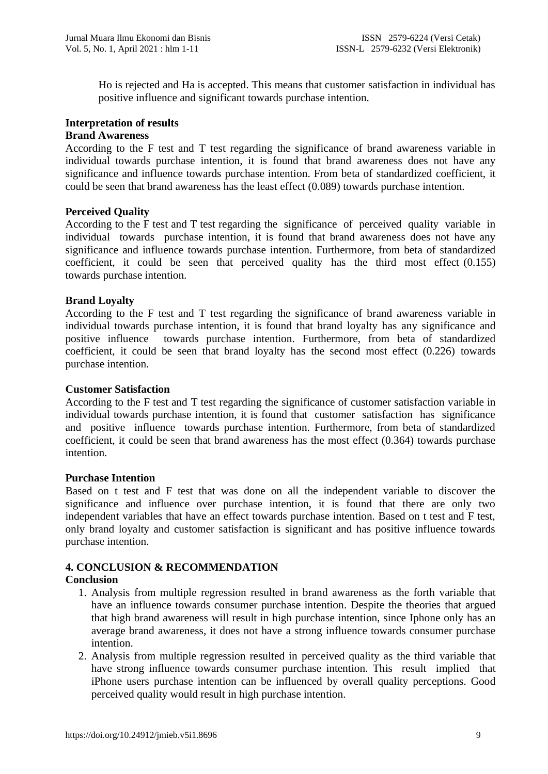Ho is rejected and Ha is accepted. This means that customer satisfaction in individual has positive influence and significant towards purchase intention.

#### **Interpretation of results Brand Awareness**

According to the F test and T test regarding the significance of brand awareness variable in individual towards purchase intention, it is found that brand awareness does not have any significance and influence towards purchase intention. From beta of standardized coefficient, it could be seen that brand awareness has the least effect (0.089) towards purchase intention.

# **Perceived Quality**

According to the F test and T test regarding the significance of perceived quality variable in individual towards purchase intention, it is found that brand awareness does not have any significance and influence towards purchase intention. Furthermore, from beta of standardized coefficient, it could be seen that perceived quality has the third most effect (0.155) towards purchase intention.

# **Brand Loyalty**

According to the F test and T test regarding the significance of brand awareness variable in individual towards purchase intention, it is found that brand loyalty has any significance and positive influence towards purchase intention. Furthermore, from beta of standardized coefficient, it could be seen that brand loyalty has the second most effect (0.226) towards purchase intention.

# **Customer Satisfaction**

According to the F test and T test regarding the significance of customer satisfaction variable in individual towards purchase intention, it is found that customer satisfaction has significance and positive influence towards purchase intention. Furthermore, from beta of standardized coefficient, it could be seen that brand awareness has the most effect (0.364) towards purchase intention.

# **Purchase Intention**

Based on t test and F test that was done on all the independent variable to discover the significance and influence over purchase intention, it is found that there are only two independent variables that have an effect towards purchase intention. Based on t test and F test, only brand loyalty and customer satisfaction is significant and has positive influence towards purchase intention.

# **4. CONCLUSION & RECOMMENDATION**

# **Conclusion**

- 1. Analysis from multiple regression resulted in brand awareness as the forth variable that have an influence towards consumer purchase intention. Despite the theories that argued that high brand awareness will result in high purchase intention, since Iphone only has an average brand awareness, it does not have a strong influence towards consumer purchase intention.
- 2. Analysis from multiple regression resulted in perceived quality as the third variable that have strong influence towards consumer purchase intention. This result implied that iPhone users purchase intention can be influenced by overall quality perceptions. Good perceived quality would result in high purchase intention.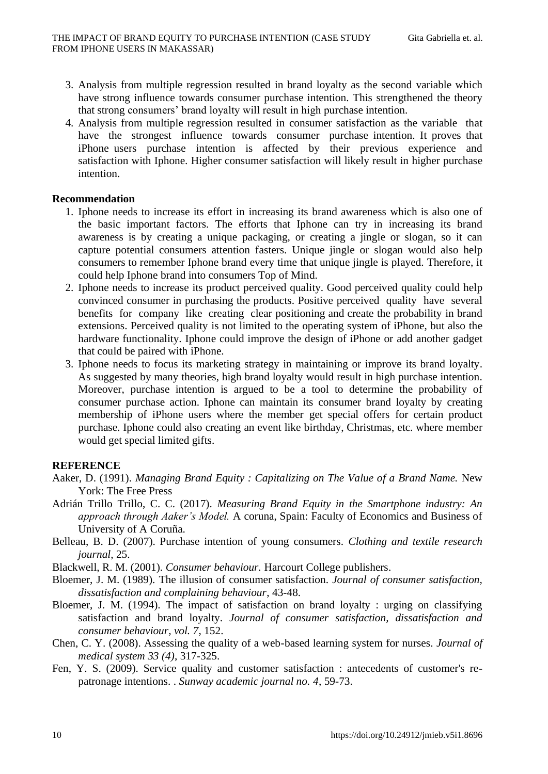- 3. Analysis from multiple regression resulted in brand loyalty as the second variable which have strong influence towards consumer purchase intention. This strengthened the theory that strong consumers' brand loyalty will result in high purchase intention.
- 4. Analysis from multiple regression resulted in consumer satisfaction as the variable that have the strongest influence towards consumer purchase intention. It proves that iPhone users purchase intention is affected by their previous experience and satisfaction with Iphone. Higher consumer satisfaction will likely result in higher purchase intention.

## **Recommendation**

- 1. Iphone needs to increase its effort in increasing its brand awareness which is also one of the basic important factors. The efforts that Iphone can try in increasing its brand awareness is by creating a unique packaging, or creating a jingle or slogan, so it can capture potential consumers attention fasters. Unique jingle or slogan would also help consumers to remember Iphone brand every time that unique jingle is played. Therefore, it could help Iphone brand into consumers Top of Mind.
- 2. Iphone needs to increase its product perceived quality. Good perceived quality could help convinced consumer in purchasing the products. Positive perceived quality have several benefits for company like creating clear positioning and create the probability in brand extensions. Perceived quality is not limited to the operating system of iPhone, but also the hardware functionality. Iphone could improve the design of iPhone or add another gadget that could be paired with iPhone.
- 3. Iphone needs to focus its marketing strategy in maintaining or improve its brand loyalty. As suggested by many theories, high brand loyalty would result in high purchase intention. Moreover, purchase intention is argued to be a tool to determine the probability of consumer purchase action. Iphone can maintain its consumer brand loyalty by creating membership of iPhone users where the member get special offers for certain product purchase. Iphone could also creating an event like birthday, Christmas, etc. where member would get special limited gifts.

# **REFERENCE**

- Aaker, D. (1991). *Managing Brand Equity : Capitalizing on The Value of a Brand Name.* New York: The Free Press
- Adrián Trillo Trillo, C. C. (2017). *Measuring Brand Equity in the Smartphone industry: An approach through Aaker's Model.* A coruna, Spain: Faculty of Economics and Business of University of A Coruña.
- Belleau, B. D. (2007). Purchase intention of young consumers. *Clothing and textile research journal*, 25.
- Blackwell, R. M. (2001). *Consumer behaviour.* Harcourt College publishers.
- Bloemer, J. M. (1989). The illusion of consumer satisfaction. *Journal of consumer satisfaction, dissatisfaction and complaining behaviour*, 43-48.
- Bloemer, J. M. (1994). The impact of satisfaction on brand loyalty : urging on classifying satisfaction and brand loyalty. *Journal of consumer satisfaction, dissatisfaction and consumer behaviour, vol. 7*, 152.
- Chen, C. Y. (2008). Assessing the quality of a web-based learning system for nurses. *Journal of medical system 33 (4)*, 317-325.
- Fen, Y. S. (2009). Service quality and customer satisfaction : antecedents of customer's repatronage intentions. . *Sunway academic journal no. 4*, 59-73.